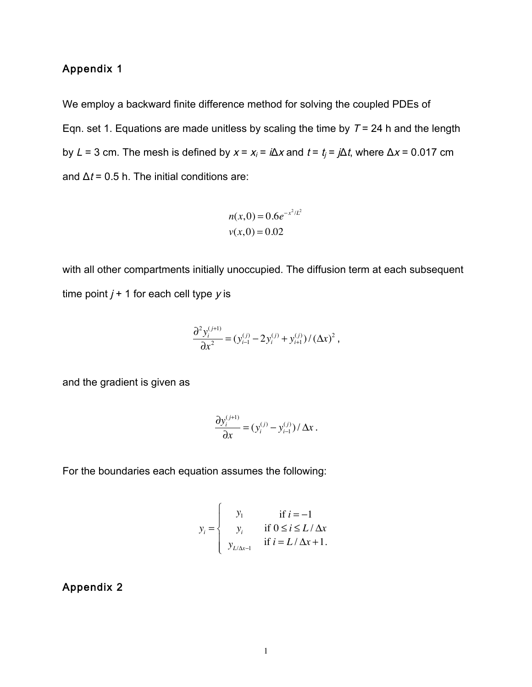# Appendix 1

We employ a backward finite difference method for solving the coupled PDEs of Eqn. set 1. Equations are made unitless by scaling the time by  $T = 24$  h and the length by L = 3 cm. The mesh is defined by  $x = x_i = i\Delta x$  and  $t = t_i = j\Delta t$ , where  $\Delta x = 0.017$  cm and  $\Delta t$  = 0.5 h. The initial conditions are:

$$
n(x,0) = 0.6e^{-x^2/L^2}
$$
  

$$
v(x,0) = 0.02
$$

with all other compartments initially unoccupied. The diffusion term at each subsequent time point  $j + 1$  for each cell type  $y$  is

$$
\frac{\partial^2 y_i^{(j+1)}}{\partial x^2} = (y_{i-1}^{(j)} - 2y_i^{(j)} + y_{i+1}^{(j)}) / (\Delta x)^2,
$$

and the gradient is given as

$$
\frac{\partial y_i^{(j+1)}}{\partial x} = (y_i^{(j)} - y_{i-1}^{(j)}) / \Delta x.
$$

For the boundaries each equation assumes the following:

$$
y_i = \begin{cases} y_1 & \text{if } i = -1 \\ y_i & \text{if } 0 \le i \le L/\Delta x \\ y_{L/\Delta x - 1} & \text{if } i = L/\Delta x + 1. \end{cases}
$$

#### Appendix 2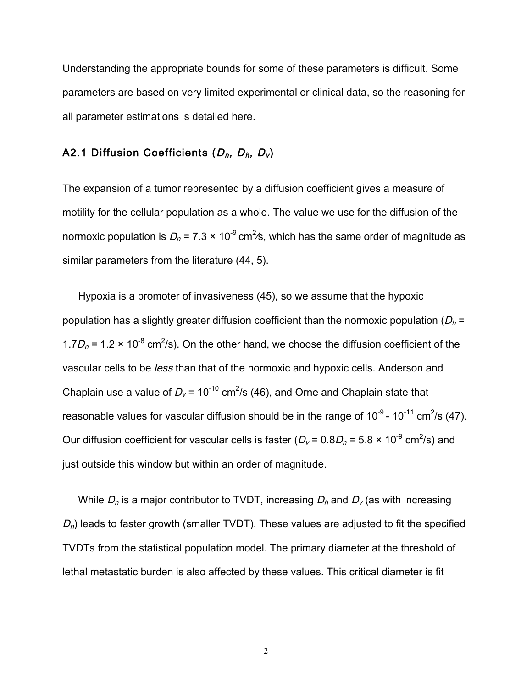Understanding the appropriate bounds for some of these parameters is difficult. Some parameters are based on very limited experimental or clinical data, so the reasoning for all parameter estimations is detailed here.

### A2.1 Diffusion Coefficients  $(D_n, D_h, D_v)$

The expansion of a tumor represented by a diffusion coefficient gives a measure of motility for the cellular population as a whole. The value we use for the diffusion of the normoxic population is  $D_n$  = 7.3  $\times$  10<sup>-9</sup> cm<sup>2</sup>/s, which has the same order of magnitude as similar parameters from the literature (44, 5).

Hypoxia is a promoter of invasiveness (45), so we assume that the hypoxic population has a slightly greater diffusion coefficient than the normoxic population ( $D_h$  = 1.7 $D_n$  = 1.2 × 10<sup>-8</sup> cm<sup>2</sup>/s). On the other hand, we choose the diffusion coefficient of the vascular cells to be less than that of the normoxic and hypoxic cells. Anderson and Chaplain use a value of  $D_v$  = 10<sup>-10</sup> cm<sup>2</sup>/s (46), and Orne and Chaplain state that reasonable values for vascular diffusion should be in the range of  $10^{-9}$  -  $10^{-11}$  cm<sup>2</sup>/s (47). Our diffusion coefficient for vascular cells is faster ( $D_v$  = 0.8 $D_n$  = 5.8  $\times$  10<sup>-9</sup> cm<sup>2</sup>/s) and just outside this window but within an order of magnitude.

While  $D_n$  is a major contributor to TVDT, increasing  $D_n$  and  $D_v$  (as with increasing  $D_n$ ) leads to faster growth (smaller TVDT). These values are adjusted to fit the specified TVDTs from the statistical population model. The primary diameter at the threshold of lethal metastatic burden is also affected by these values. This critical diameter is fit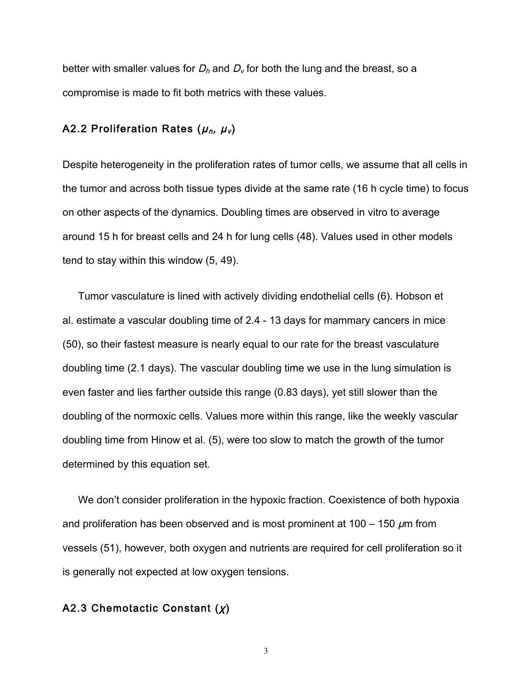better with smaller values for  $D_h$  and  $D_v$  for both the lung and the breast, so a compromise is made to fit both metrics with these values.

### A2.2 Proliferation Rates ( $\mu_n$ ,  $\mu_v$ )

Despite heterogeneity in the proliferation rates of tumor cells, we assume that all cells in the tumor and across both tissue types divide at the same rate (16 h cycle time) to focus on other aspects of the dynamics. Doubling times are observed in vitro to average around 15 h for breast cells and 24 h for lung cells (48). Values used in other models tend to stay within this window (5, 49).

Tumor vasculature is lined with actively dividing endothelial cells (6). Hobson et al. estimate a vascular doubling time of 2.4 - 13 days for mammary cancers in mice (50), so their fastest measure is nearly equal to our rate for the breast vasculature doubling time (2.1 days). The vascular doubling time we use in the lung simulation is even faster and lies farther outside this range (0.83 days), yet still slower than the doubling of the normoxic cells. Values more within this range, like the weekly vascular doubling time from Hinow et al. (5), were too slow to match the growth of the tumor determined by this equation set.

We don't consider proliferation in the hypoxic fraction. Coexistence of both hypoxia and proliferation has been observed and is most prominent at 100 – 150  $\mu$ m from vessels (51), however, both oxygen and nutrients are required for cell proliferation so it is generally not expected at low oxygen tensions.

## A2.3 Chemotactic Constant  $(x)$

3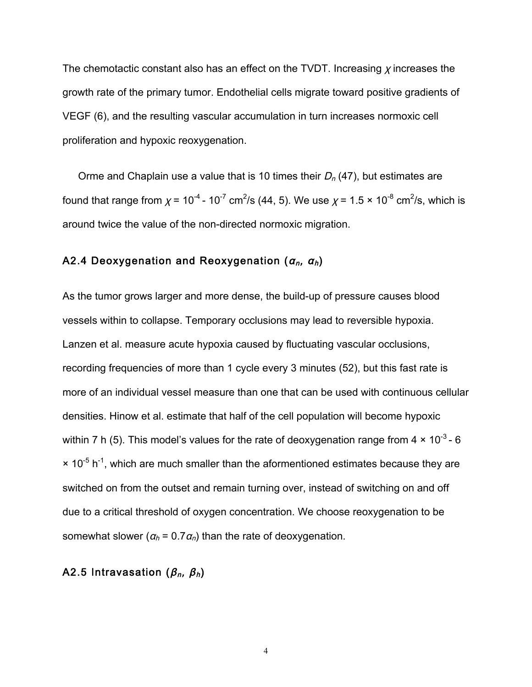The chemotactic constant also has an effect on the TVDT. Increasing  $\chi$  increases the growth rate of the primary tumor. Endothelial cells migrate toward positive gradients of VEGF (6), and the resulting vascular accumulation in turn increases normoxic cell proliferation and hypoxic reoxygenation.

Orme and Chaplain use a value that is 10 times their  $D_n$  (47), but estimates are found that range from  $\chi$  = 10<sup>-4</sup> - 10<sup>-7</sup> cm<sup>2</sup>/s (44, 5). We use  $\chi$  = 1.5 × 10<sup>-8</sup> cm<sup>2</sup>/s, which is around twice the value of the non-directed normoxic migration.

## A2.4 Deoxygenation and Reoxygenation  $(a_n, a_n)$

As the tumor grows larger and more dense, the build-up of pressure causes blood vessels within to collapse. Temporary occlusions may lead to reversible hypoxia. Lanzen et al. measure acute hypoxia caused by fluctuating vascular occlusions, recording frequencies of more than 1 cycle every 3 minutes (52), but this fast rate is more of an individual vessel measure than one that can be used with continuous cellular densities. Hinow et al. estimate that half of the cell population will become hypoxic within 7 h (5). This model's values for the rate of deoxygenation range from  $4 \times 10^{-3}$  - 6  $\times$  10<sup>-5</sup> h<sup>-1</sup>, which are much smaller than the aformentioned estimates because they are switched on from the outset and remain turning over, instead of switching on and off due to a critical threshold of oxygen concentration. We choose reoxygenation to be somewhat slower ( $a_h$  = 0.7 $a_n$ ) than the rate of deoxygenation.

### A2.5 Intravasation ( $\beta_n$ ,  $\beta_h$ )

4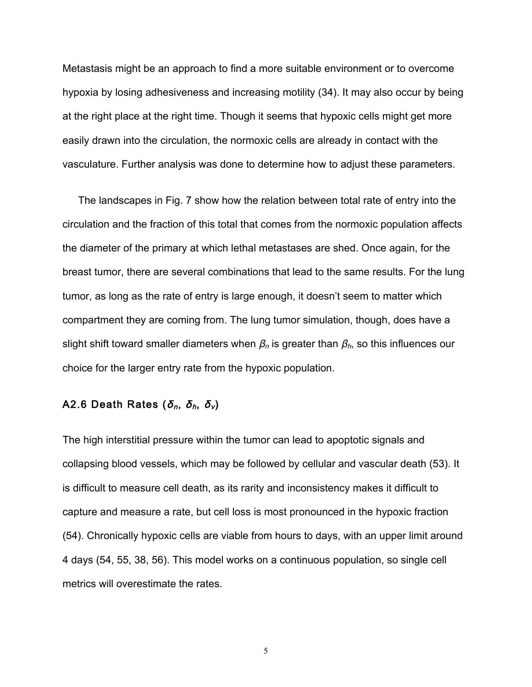Metastasis might be an approach to find a more suitable environment or to overcome hypoxia by losing adhesiveness and increasing motility (34). It may also occur by being at the right place at the right time. Though it seems that hypoxic cells might get more easily drawn into the circulation, the normoxic cells are already in contact with the vasculature. Further analysis was done to determine how to adjust these parameters.

The landscapes in Fig. 7 show how the relation between total rate of entry into the circulation and the fraction of this total that comes from the normoxic population affects the diameter of the primary at which lethal metastases are shed. Once again, for the breast tumor, there are several combinations that lead to the same results. For the lung tumor, as long as the rate of entry is large enough, it doesn't seem to matter which compartment they are coming from. The lung tumor simulation, though, does have a slight shift toward smaller diameters when  $\beta_n$  is greater than  $\beta_n$ , so this influences our choice for the larger entry rate from the hypoxic population.

## A2.6 Death Rates ( $\delta_n$ ,  $\delta_h$ ,  $\delta_v$ )

The high interstitial pressure within the tumor can lead to apoptotic signals and collapsing blood vessels, which may be followed by cellular and vascular death (53). It is difficult to measure cell death, as its rarity and inconsistency makes it difficult to capture and measure a rate, but cell loss is most pronounced in the hypoxic fraction (54). Chronically hypoxic cells are viable from hours to days, with an upper limit around 4 days (54, 55, 38, 56). This model works on a continuous population, so single cell metrics will overestimate the rates.

5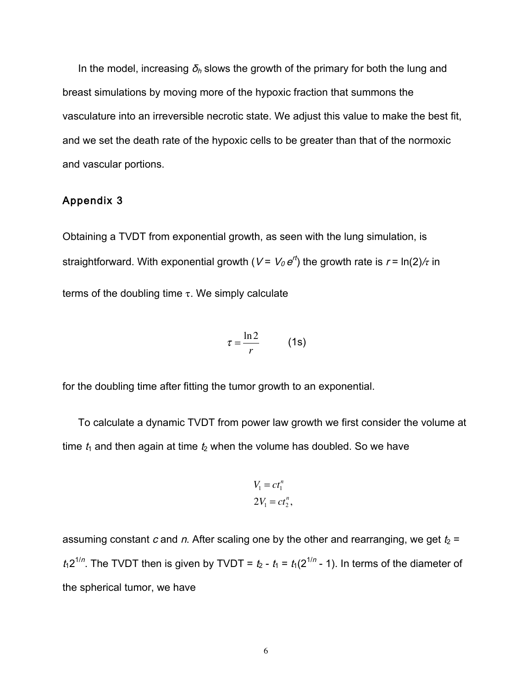In the model, increasing  $\delta_h$  slows the growth of the primary for both the lung and breast simulations by moving more of the hypoxic fraction that summons the vasculature into an irreversible necrotic state. We adjust this value to make the best fit, and we set the death rate of the hypoxic cells to be greater than that of the normoxic and vascular portions.

### Appendix 3

Obtaining a TVDT from exponential growth, as seen with the lung simulation, is straightforward. With exponential growth (*V* = *V* $_0$  *e*<sup>rt</sup>) the growth rate is *r* = ln(2)/ $\tau$  in terms of the doubling time  $\tau$ . We simply calculate

$$
\tau = \frac{\ln 2}{r} \qquad (1s)
$$

for the doubling time after fitting the tumor growth to an exponential.

To calculate a dynamic TVDT from power law growth we first consider the volume at time  $t_1$  and then again at time  $t_2$  when the volume has doubled. So we have

$$
V_1 = ct_1^n
$$
  

$$
2V_1 = ct_2^n,
$$

assuming constant c and n. After scaling one by the other and rearranging, we get  $t_2$  =  $t_1 2^{1/n}$ . The TVDT then is given by TVDT =  $t_2$  -  $t_1 = t_1(2^{1/n} - 1)$ . In terms of the diameter of the spherical tumor, we have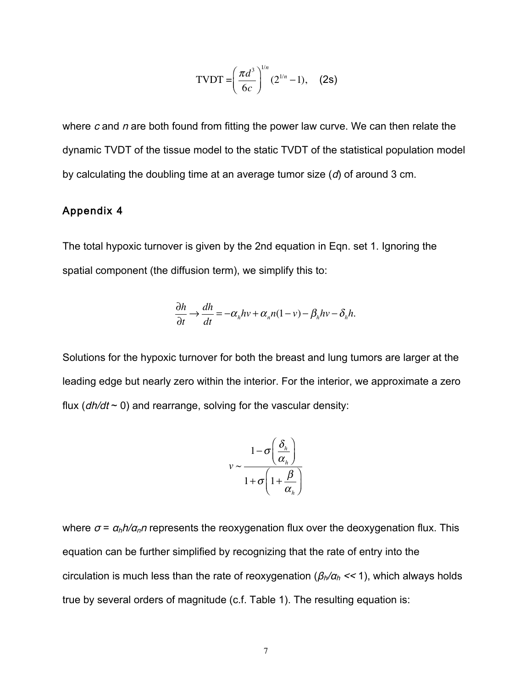TVDT = 
$$
\left(\frac{\pi d^3}{6c}\right)^{1/n} (2^{1/n} - 1),
$$
 (2s)

where  $c$  and  $n$  are both found from fitting the power law curve. We can then relate the dynamic TVDT of the tissue model to the static TVDT of the statistical population model by calculating the doubling time at an average tumor size (d) of around 3 cm.

### Appendix 4

The total hypoxic turnover is given by the 2nd equation in Eqn. set 1. Ignoring the spatial component (the diffusion term), we simplify this to:

$$
\frac{\partial h}{\partial t} \to \frac{dh}{dt} = -\alpha_h hv + \alpha_n n(1 - v) - \beta_h hv - \delta_h h.
$$

Solutions for the hypoxic turnover for both the breast and lung tumors are larger at the leading edge but nearly zero within the interior. For the interior, we approximate a zero flux ( $dh/dt \sim 0$ ) and rearrange, solving for the vascular density:

$$
v \sim \frac{1 - \sigma\left(\frac{\delta_h}{\alpha_h}\right)}{1 + \sigma\left(1 + \frac{\beta}{\alpha_h}\right)}
$$

where  $\sigma = \frac{\alpha_h h}{\alpha_n n}$  represents the reoxygenation flux over the deoxygenation flux. This equation can be further simplified by recognizing that the rate of entry into the circulation is much less than the rate of reoxygenation ( $\beta_h/\alpha_h << 1$ ), which always holds true by several orders of magnitude (c.f. Table 1). The resulting equation is: